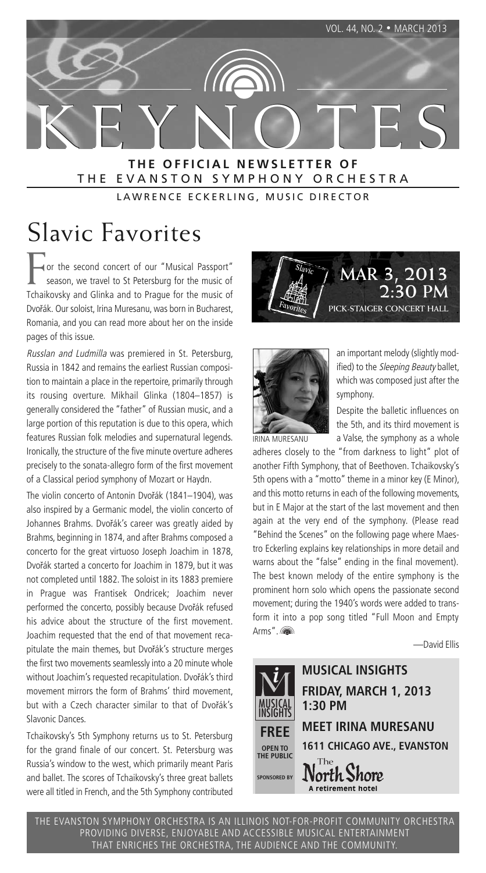

THE EVANSTON SYMPHONY ORCHESTRA

LAWRENCE ECKERLING, MUSIC DIRECTOR

# Slavic Favorites

or the second concert of our "Musical Passport" season, we travel to St Petersburg for the music of Tchaikovsky and Glinka and to Prague for the music of Dvořák. Our soloist, Irina Muresanu, was born in Bucharest, Romania, and you can read more about her on the inside pages of this issue.

Russlan and Ludmilla was premiered in St. Petersburg, Russia in 1842 and remains the earliest Russian composition to maintain a place in the repertoire, primarily through its rousing overture. Mikhail Glinka (1804–1857) is generally considered the "father" of Russian music, and a large portion of this reputation is due to this opera, which features Russian folk melodies and supernatural legends. Ironically, the structure of the five minute overture adheres precisely to the sonata-allegro form of the first movement of a Classical period symphony of Mozart or Haydn.

The violin concerto of Antonin Dvořák (1841–1904), was also inspired by a Germanic model, the violin concerto of Johannes Brahms. Dvořák's career was greatly aided by Brahms, beginning in 1874, and after Brahms composed a concerto for the great virtuoso Joseph Joachim in 1878, Dvořák started a concerto for Joachim in 1879, but it was not completed until 1882. The soloist in its 1883 premiere in Prague was Frantisek Ondricek; Joachim never performed the concerto, possibly because Dvořák refused his advice about the structure of the first movement. Joachim requested that the end of that movement recapitulate the main themes, but Dvořák's structure merges the first two movements seamlessly into a 20 minute whole without Joachim's requested recapitulation. Dvořák's third movement mirrors the form of Brahms' third movement, but with a Czech character similar to that of Dvořák's Slavonic Dances.

Tchaikovsky's 5th Symphony returns us to St. Petersburg for the grand finale of our concert. St. Petersburg was Russia's window to the west, which primarily meant Paris and ballet. The scores of Tchaikovsky's three great ballets were all titled in French, and the 5th Symphony contributed





an important melody (slightly modified) to the Sleeping Beauty ballet, which was composed just after the symphony.

Despite the balletic influences on the 5th, and its third movement is a Valse, the symphony as a whole

adheres closely to the "from darkness to light" plot of another Fifth Symphony, that of Beethoven. Tchaikovsky's 5th opens with a "motto" theme in a minor key (E Minor), and this motto returns in each of the following movements, but in E Major at the start of the last movement and then again at the very end of the symphony. (Please read "Behind the Scenes" on the following page where Maestro Eckerling explains key relationships in more detail and warns about the "false" ending in the final movement). The best known melody of the entire symphony is the prominent horn solo which opens the passionate second movement; during the 1940's words were added to transform it into a pop song titled "Full Moon and Empty Arms".

—David Ellis



THE EVANSTON SYMPHONY ORCHESTRA IS AN ILLINOIS NOT-FOR-PROFIT COMMUNITY ORCHESTRA PROVIDING DIVERSE, ENJOYABLE AND ACCESSIBLE MUSICAL ENTERTAINMENT THAT ENRICHES THE ORCHESTRA, THE AUDIENCE AND THE COMMUNITY.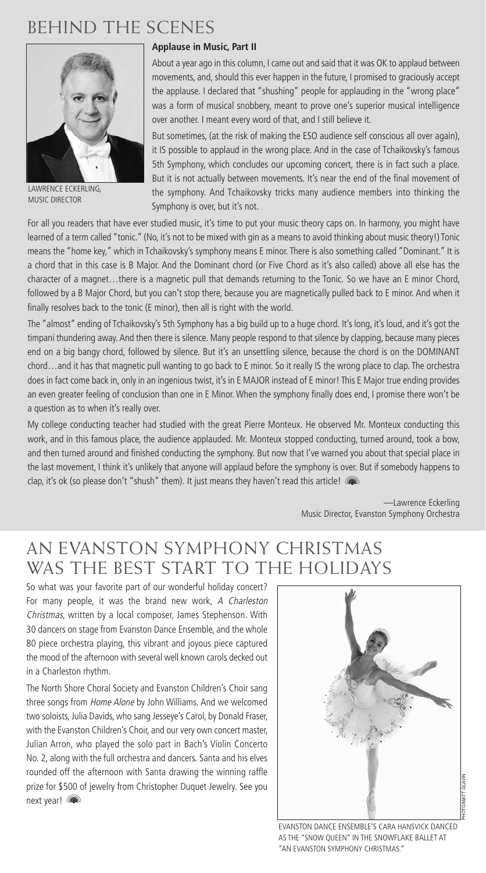## BEHIND THE SCENES



LAWRENCE ECKERLING, MUSIC DIRECTOR

#### **Applause in Music, Part II**

About a year ago in this column, I came out and said that it was OK to applaud between movements, and, should this ever happen in the future, I promised to graciously accept the applause. I declared that "shushing" people for applauding in the "wrong place" was a form of musical snobbery, meant to prove one's superior musical intelligence over another. I meant every word of that, and I still believe it.

But sometimes, (at the risk of making the ESO audience self conscious all over again), it IS possible to applaud in the wrong place. And in the case of Tchaikovsky's famous 5th Symphony, which concludes our upcoming concert, there is in fact such a place. But it is not actually between movements. It's near the end of the final movement of the symphony. And Tchaikovsky tricks many audience members into thinking the Symphony is over, but it's not.

For all you readers that have ever studied music, it's time to put your music theory caps on. In harmony, you might have learned of a term called "tonic." (No, it's not to be mixed with gin as a means to avoid thinking about music theory!) Tonic means the "home key," which in Tchaikovsky's symphony means E minor. There is also something called "Dominant." It is a chord that in this case is B Major. And the Dominant chord (or Five Chord as it's also called) above all else has the character of a magnet…there is a magnetic pull that demands returning to the Tonic. So we have an E minor Chord, followed by a B Major Chord, but you can't stop there, because you are magnetically pulled back to E minor. And when it finally resolves back to the tonic (E minor), then all is right with the world.

The "almost" ending of Tchaikovsky's 5th Symphony has a big build up to a huge chord. It's long, it's loud, and it's got the timpani thundering away. And then there is silence. Many people respond to that silence by clapping, because many pieces end on a big bangy chord, followed by silence. But it's an unsettling silence, because the chord is on the DOMINANT chord…and it has that magnetic pull wanting to go back to E minor. So it really IS the wrong place to clap. The orchestra does in fact come back in, only in an ingenious twist, it's in E MAJOR instead of E minor! This E Major true ending provides an even greater feeling of conclusion than one in E Minor. When the symphony finally does end, I promise there won't be a question as to when it's really over.

My college conducting teacher had studied with the great Pierre Monteux. He observed Mr. Monteux conducting this work, and in this famous place, the audience applauded. Mr. Monteux stopped conducting, turned around, took a bow, and then turned around and finished conducting the symphony. But now that I've warned you about that special place in the last movement, I think it's unlikely that anyone will applaud before the symphony is over. But if somebody happens to clap, it's ok (so please don't "shush" them). It just means they haven't read this article!

> —Lawrence Eckerling Music Director, Evanston Symphony Orchestra

### AN EVANSTON SYMPHONY CHRISTMAS WAS THE BEST START TO THE HOLIDAYS

So what was your favorite part of our wonderful holiday concert? For many people, it was the brand new work, A Charleston Christmas, written by a local composer, James Stephenson. With 30 dancers on stage from Evanston Dance Ensemble, and the whole 80 piece orchestra playing, this vibrant and joyous piece captured the mood of the afternoon with several well known carols decked out in a Charleston rhythm.

The North Shore Choral Society and Evanston Children's Choir sang three songs from Home Alone by John Williams. And we welcomed two soloists, Julia Davids, who sang Jesseye's Carol, by Donald Fraser, with the Evanston Children's Choir, and our very own concert master, Julian Arron, who played the solo part in Bach's Violin Concerto No. 2, along with the full orchestra and dancers. Santa and his elves rounded off the afternoon with Santa drawing the winning raffle prize for \$500 of jewelry from Christopher Duquet Jewelry. See you next year!



EVANSTON DANCE ENSEMBLE'S CARA HANSVICK DANCED AS THE "SNOW QUEEN" IN THE SNOWFLAKE BALLET AT "AN EVANSTON SYMPHONY CHRISTMAS."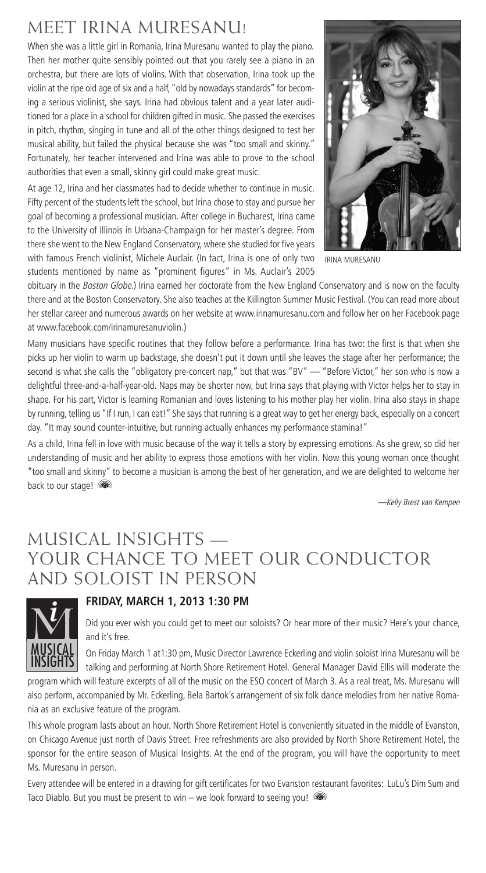### MEET IRINA MURESANU!

When she was a little girl in Romania, Irina Muresanu wanted to play the piano. Then her mother quite sensibly pointed out that you rarely see a piano in an orchestra, but there are lots of violins. With that observation, Irina took up the violin at the ripe old age of six and a half, "old by nowadays standards" for becoming a serious violinist, she says. Irina had obvious talent and a year later auditioned for a place in a school for children gifted in music. She passed the exercises in pitch, rhythm, singing in tune and all of the other things designed to test her musical ability, but failed the physical because she was "too small and skinny." Fortunately, her teacher intervened and Irina was able to prove to the school authorities that even a small, skinny girl could make great music.

At age 12, Irina and her classmates had to decide whether to continue in music. Fifty percent of the students left the school, but Irina chose to stay and pursue her goal of becoming a professional musician. After college in Bucharest, Irina came to the University of Illinois in Urbana-Champaign for her master's degree. From there she went to the New England Conservatory, where she studied for five years with famous French violinist, Michele Auclair. (In fact, Irina is one of only two students mentioned by name as "prominent figures" in Ms. Auclair's 2005



IRINA MURESANU

obituary in the Boston Globe.) Irina earned her doctorate from the New England Conservatory and is now on the faculty there and at the Boston Conservatory. She also teaches at the Killington Summer Music Festival. (You can read more about her stellar career and numerous awards on her website at www.irinamuresanu.com and follow her on her Facebook page at www.facebook.com/irinamuresanuviolin.)

Many musicians have specific routines that they follow before a performance. Irina has two: the first is that when she picks up her violin to warm up backstage, she doesn't put it down until she leaves the stage after her performance; the second is what she calls the "obligatory pre-concert nap," but that was "BV" — "Before Victor," her son who is now a delightful three-and-a-half-year-old. Naps may be shorter now, but Irina says that playing with Victor helps her to stay in shape. For his part, Victor is learning Romanian and loves listening to his mother play her violin. Irina also stays in shape by running, telling us "If I run, I can eat!" She says that running is a great way to get her energy back, especially on a concert day. "It may sound counter-intuitive, but running actually enhances my performance stamina!"

As a child, Irina fell in love with music because of the way it tells a story by expressing emotions. As she grew, so did her understanding of music and her ability to express those emotions with her violin. Now this young woman once thought "too small and skinny" to become a musician is among the best of her generation, and we are delighted to welcome her back to our stage!

—Kelly Brest van Kempen

### MUSICAL INSIGHTS — YOUR CHANCE TO MEET OUR CONDUCTOR AND SOLOIST IN PERSON



#### **FRIDAY, MARCH 1, 2013 1:30 PM**

Did you ever wish you could get to meet our soloists? Or hear more of their music? Here's your chance, and it's free.

On Friday March 1 at1:30 pm, Music Director Lawrence Eckerling and violin soloist Irina Muresanu will be talking and performing at North Shore Retirement Hotel. General Manager David Ellis will moderate the

program which will feature excerpts of all of the music on the ESO concert of March 3. As a real treat, Ms. Muresanu will also perform, accompanied by Mr. Eckerling, Bela Bartok's arrangement of six folk dance melodies from her native Romania as an exclusive feature of the program.

This whole program lasts about an hour. North Shore Retirement Hotel is conveniently situated in the middle of Evanston, on Chicago Avenue just north of Davis Street. Free refreshments are also provided by North Shore Retirement Hotel, the sponsor for the entire season of Musical Insights. At the end of the program, you will have the opportunity to meet Ms. Muresanu in person.

Every attendee will be entered in a drawing for gift certificates for two Evanston restaurant favorites: LuLu's Dim Sum and Taco Diablo. But you must be present to win – we look forward to seeing you!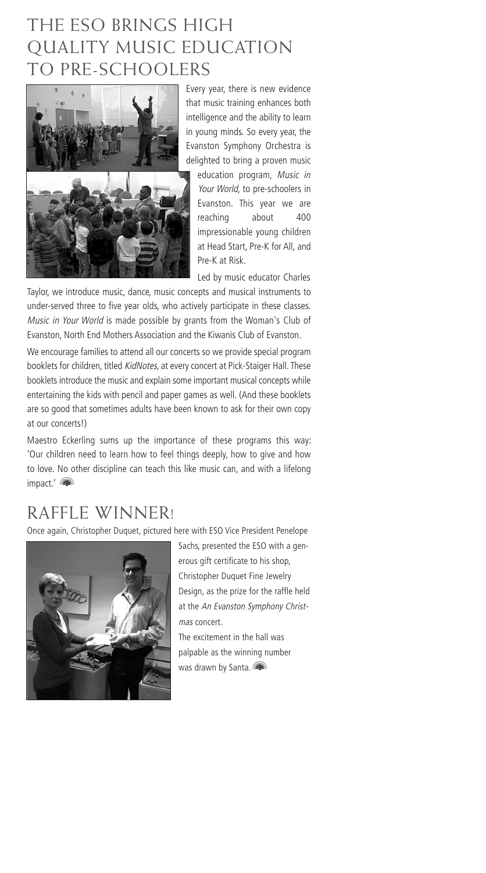### THE ESO BRINGS HIGH QUALITY MUSIC EDUCATION TO PRE-SCHOOLERS



Every year, there is new evidence that music training enhances both intelligence and the ability to learn in young minds. So every year, the Evanston Symphony Orchestra is delighted to bring a proven music

education program, Music in Your World, to pre-schoolers in Evanston. This year we are reaching about 400 impressionable young children at Head Start, Pre-K for All, and Pre-K at Risk.

Led by music educator Charles

Taylor, we introduce music, dance, music concepts and musical instruments to under-served three to five year olds, who actively participate in these classes. Music in Your World is made possible by grants from the Woman's Club of Evanston, North End Mothers Association and the Kiwanis Club of Evanston.

We encourage families to attend all our concerts so we provide special program booklets for children, titled KidNotes, at every concert at Pick-Staiger Hall. These booklets introduce the music and explain some important musical concepts while entertaining the kids with pencil and paper games as well. (And these booklets are so good that sometimes adults have been known to ask for their own copy at our concerts!)

Maestro Eckerling sums up the importance of these programs this way: 'Our children need to learn how to feel things deeply, how to give and how to love. No other discipline can teach this like music can, and with a lifelong impact.'

### RAFFLE WINNER!

Once again, Christopher Duquet, pictured here with ESO Vice President Penelope



Sachs, presented the ESO with a generous gift certificate to his shop, Christopher Duquet Fine Jewelry Design, as the prize for the raffle held at the An Evanston Symphony Christmas concert.

The excitement in the hall was palpable as the winning number was drawn by Santa.